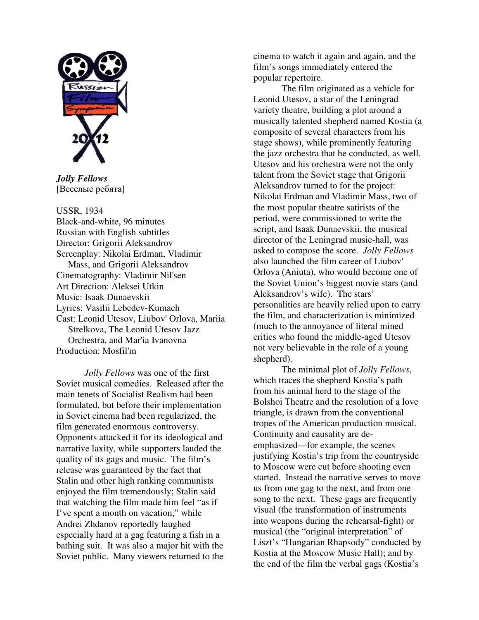

*Jolly Fellows*  [Веселые ребята]

## USSR, 1934

Black-and-white, 96 minutes Russian with English subtitles Director: Grigorii Aleksandrov Screenplay: Nikolai Erdman, Vladimir Mass, and Grigorii Aleksandrov Cinematography: Vladimir Nil'sen Art Direction: Aleksei Utkin Music: Isaak Dunaevskii Lyrics: Vasilii Lebedev-Kumach Cast: Leonid Utesov, Liubov' Orlova, Mariia Strelkova, The Leonid Utesov Jazz Orchestra, and Mar'ia Ivanovna Production: Mosfil'm

*Jolly Fellows* was one of the first Soviet musical comedies. Released after the main tenets of Socialist Realism had been formulated, but before their implementation in Soviet cinema had been regularized, the film generated enormous controversy. Opponents attacked it for its ideological and narrative laxity, while supporters lauded the quality of its gags and music. The film's release was guaranteed by the fact that Stalin and other high ranking communists enjoyed the film tremendously; Stalin said that watching the film made him feel "as if I've spent a month on vacation," while Andrei Zhdanov reportedly laughed especially hard at a gag featuring a fish in a bathing suit. It was also a major hit with the Soviet public. Many viewers returned to the

cinema to watch it again and again, and the film's songs immediately entered the popular repertoire.

The film originated as a vehicle for Leonid Utesov, a star of the Leningrad variety theatre, building a plot around a musically talented shepherd named Kostia (a composite of several characters from his stage shows), while prominently featuring the jazz orchestra that he conducted, as well. Utesov and his orchestra were not the only talent from the Soviet stage that Grigorii Aleksandrov turned to for the project: Nikolai Erdman and Vladimir Mass, two of the most popular theatre satirists of the period, were commissioned to write the script, and Isaak Dunaevskii, the musical director of the Leningrad music-hall, was asked to compose the score. *Jolly Fellows*  also launched the film career of Liubov' Orlova (Aniuta), who would become one of the Soviet Union's biggest movie stars (and Aleksandrov's wife). The stars' personalities are heavily relied upon to carry the film, and characterization is minimized (much to the annoyance of literal mined critics who found the middle-aged Utesov not very believable in the role of a young shepherd).

The minimal plot of *Jolly Fellows*, which traces the shepherd Kostia's path from his animal herd to the stage of the Bolshoi Theatre and the resolution of a love triangle, is drawn from the conventional tropes of the American production musical. Continuity and causality are deemphasized—for example, the scenes justifying Kostia's trip from the countryside to Moscow were cut before shooting even started. Instead the narrative serves to move us from one gag to the next, and from one song to the next. These gags are frequently visual (the transformation of instruments into weapons during the rehearsal-fight) or musical (the "original interpretation" of Liszt's "Hungarian Rhapsody" conducted by Kostia at the Moscow Music Hall); and by the end of the film the verbal gags (Kostia's